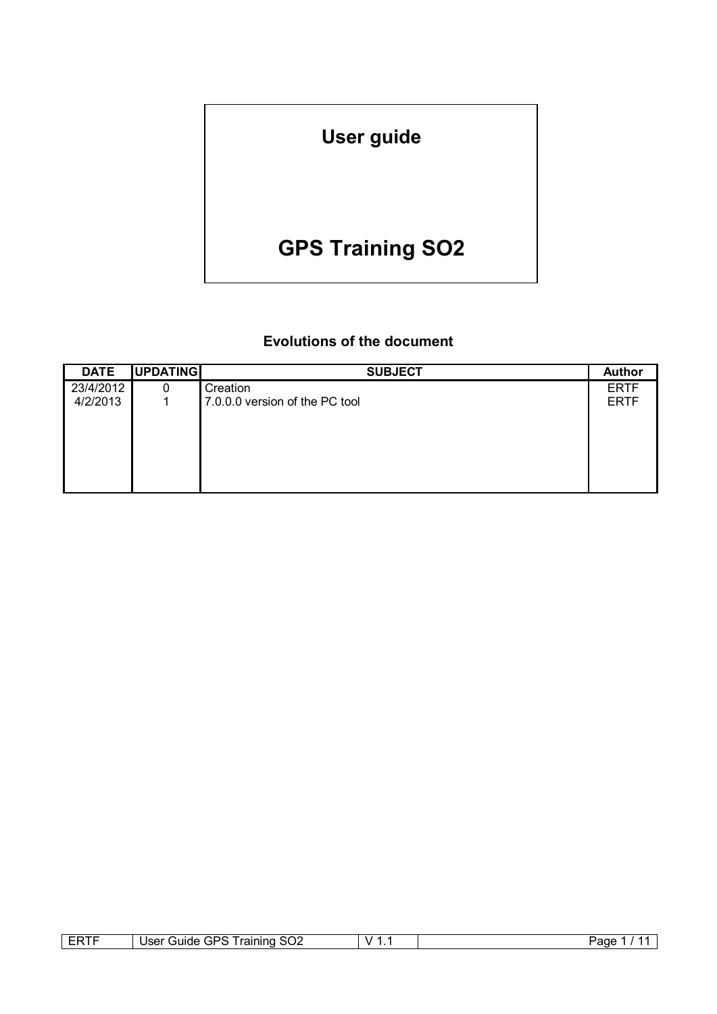# **User guide**

# **GPS Training SO2**

# **Evolutions of the document**

| <b>DATE</b> | UPDATING | <b>SUBJECT</b>                 | <b>Author</b> |
|-------------|----------|--------------------------------|---------------|
| 23/4/2012   | 0        | Creation                       | <b>ERTF</b>   |
| 4/2/2013    |          | 7.0.0.0 version of the PC tool | <b>ERTF</b>   |
|             |          |                                |               |
|             |          |                                |               |
|             |          |                                |               |
|             |          |                                |               |
|             |          |                                |               |
|             |          |                                |               |

| -----<br>--<br><b>11</b><br>- | ╮<br>−<br>.<br>raining<br>suide<br>Jser<br>. 9F<br>OUZ<br>. . | $\mathbf{v}$<br>. . | ∪age |
|-------------------------------|---------------------------------------------------------------|---------------------|------|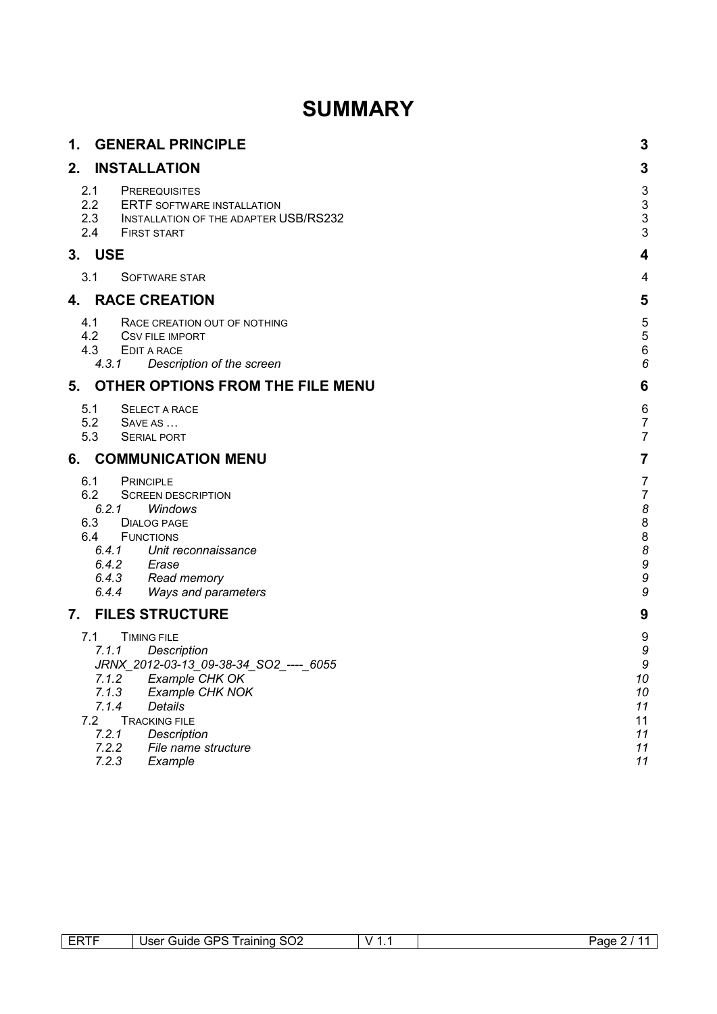# **SUMMARY**

| 1.                       | <b>GENERAL PRINCIPLE</b>                                                                                                                                                                                                                                                           | 3                                                     |
|--------------------------|------------------------------------------------------------------------------------------------------------------------------------------------------------------------------------------------------------------------------------------------------------------------------------|-------------------------------------------------------|
| 2.                       | <b>INSTALLATION</b>                                                                                                                                                                                                                                                                | 3                                                     |
| 2.1<br>2.2<br>2.4        | <b>PREREQUISITES</b><br><b>ERTF SOFTWARE INSTALLATION</b><br>2.3 INSTALLATION OF THE ADAPTER USB/RS232<br><b>FIRST START</b>                                                                                                                                                       | ვევე                                                  |
| 3. USE                   |                                                                                                                                                                                                                                                                                    | 4                                                     |
| 3.1                      | SOFTWARE STAR                                                                                                                                                                                                                                                                      | 4                                                     |
|                          | 4. RACE CREATION                                                                                                                                                                                                                                                                   | 5                                                     |
| 4.1<br>4.2<br>4.3        | RACE CREATION OUT OF NOTHING<br><b>CSV FILE IMPORT</b><br>EDIT A RACE<br>4.3.1<br>Description of the screen                                                                                                                                                                        | 5<br>5<br>$\epsilon$<br>$\epsilon$                    |
| 5.                       | OTHER OPTIONS FROM THE FILE MENU                                                                                                                                                                                                                                                   | 6                                                     |
| 5.1<br>5.2<br>5.3        | <b>SELECT A RACE</b><br>SAVE AS<br><b>SERIAL PORT</b>                                                                                                                                                                                                                              | 6<br>$\frac{7}{7}$                                    |
| 6.                       | <b>COMMUNICATION MENU</b>                                                                                                                                                                                                                                                          | 7                                                     |
| 6.1<br>6.2<br>6.3<br>6.4 | <b>PRINCIPLE</b><br><b>SCREEN DESCRIPTION</b><br>6.2.1<br>Windows<br><b>DIALOG PAGE</b><br><b>FUNCTIONS</b><br>6.4.1 Unit reconnaissance<br>Erase<br>6.4.2<br>Read memory<br>6.4.3<br>6.4.4<br>Ways and parameters                                                                 | 7<br>$\overline{1}$<br>$\epsilon$<br>8880<br>S<br>S   |
| 7.                       | <b>FILES STRUCTURE</b>                                                                                                                                                                                                                                                             | 9                                                     |
| 7.1<br>7.2               | <b>TIMING FILE</b><br>7.1.1<br>Description<br>JRNX_2012-03-13_09-38-34_SO2_----_ 6055<br>7.1.2<br>Example CHK OK<br>7.1.3<br>Example CHK NOK<br>7.1.4<br><b>Details</b><br><b>TRACKING FILE</b><br>7.2.1<br><b>Description</b><br>7.2.2<br>File name structure<br>7.2.3<br>Example | 9<br>S<br>S<br>10<br>10<br>11<br>11<br>11<br>11<br>11 |

| ERTF | <b>Training SO2</b><br>User C<br>Guide GPS | v<br>. . | Page |
|------|--------------------------------------------|----------|------|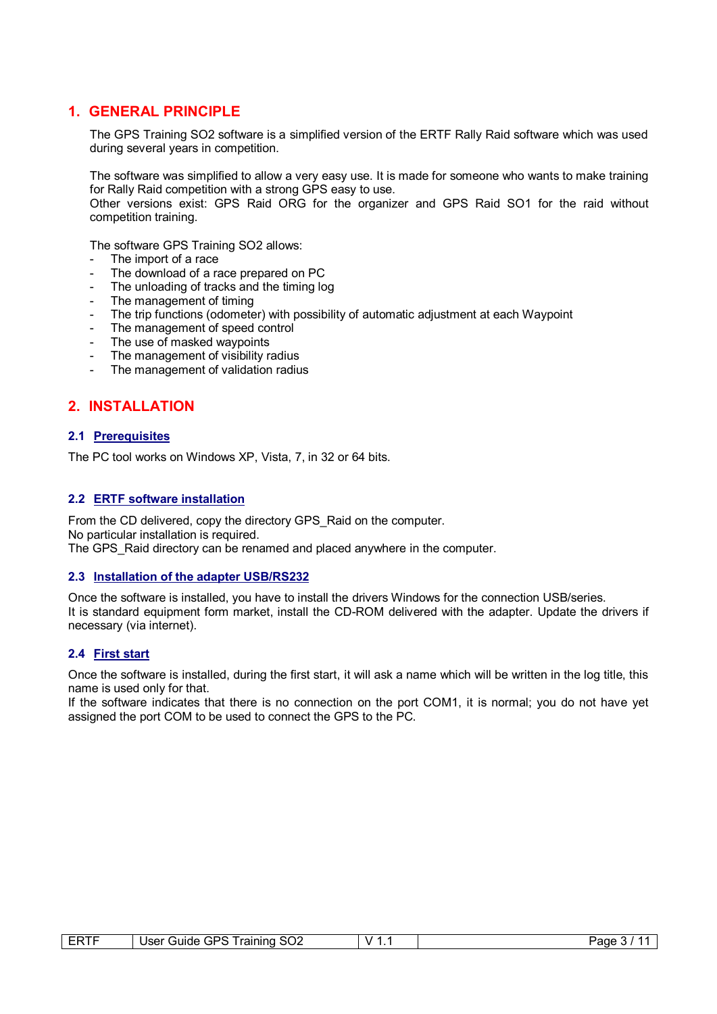## **1. GENERAL PRINCIPLE**

The GPS Training SO2 software is a simplified version of the ERTF Rally Raid software which was used during several years in competition.

The software was simplified to allow a very easy use. It is made for someone who wants to make training for Rally Raid competition with a strong GPS easy to use.

Other versions exist: GPS Raid ORG for the organizer and GPS Raid SO1 for the raid without competition training.

The software GPS Training SO2 allows:

- The import of a race
- The download of a race prepared on PC
- The unloading of tracks and the timing log
- The management of timing
- The trip functions (odometer) with possibility of automatic adjustment at each Waypoint
- The management of speed control
- The use of masked waypoints
- The management of visibility radius
- The management of validation radius

# **2. INSTALLATION**

#### **2.1 Prerequisites**

The PC tool works on Windows XP, Vista, 7, in 32 or 64 bits.

#### **2.2 ERTF software installation**

From the CD delivered, copy the directory GPS\_Raid on the computer. No particular installation is required. The GPS Raid directory can be renamed and placed anywhere in the computer.

#### **2.3 Installation of the adapter USB/RS232**

Once the software is installed, you have to install the drivers Windows for the connection USB/series. It is standard equipment form market, install the CD-ROM delivered with the adapter. Update the drivers if necessary (via internet).

#### **2.4 First start**

Once the software is installed, during the first start, it will ask a name which will be written in the log title, this name is used only for that.

If the software indicates that there is no connection on the port COM1, it is normal; you do not have yet assigned the port COM to be used to connect the GPS to the PC.

| ⊢∺<br>. I F<br><u>.</u> | סרי<br>raining<br>Jser<br>ೆ SO∠<br>′ uide۔<br>いどこ | v<br>. . | 'ane<br>.<br>. . |
|-------------------------|---------------------------------------------------|----------|------------------|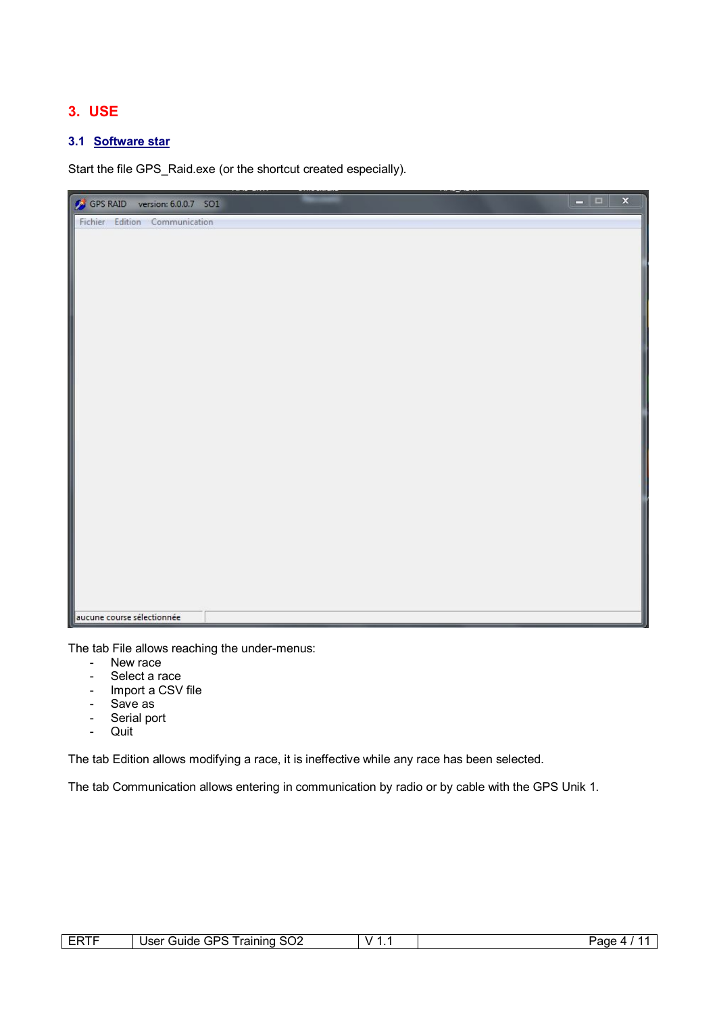# **3. USE**

### **3.1 Software star**

Start the file GPS\_Raid.exe (or the shortcut created especially).



The tab File allows reaching the under-menus:

- New race
- Select a race
- Import a CSV file
- Save as
- Serial port
- Quit

The tab Edition allows modifying a race, it is ineffective while any race has been selected.

The tab Communication allows entering in communication by radio or by cable with the GPS Unik 1.

| --<br>ЕĦ | $\sim$<br>GPS.<br>raining<br>suide<br>Jser<br>` ວ∪∠ ' | . .<br>. . | Page<br>$\overline{\phantom{a}}$ |
|----------|-------------------------------------------------------|------------|----------------------------------|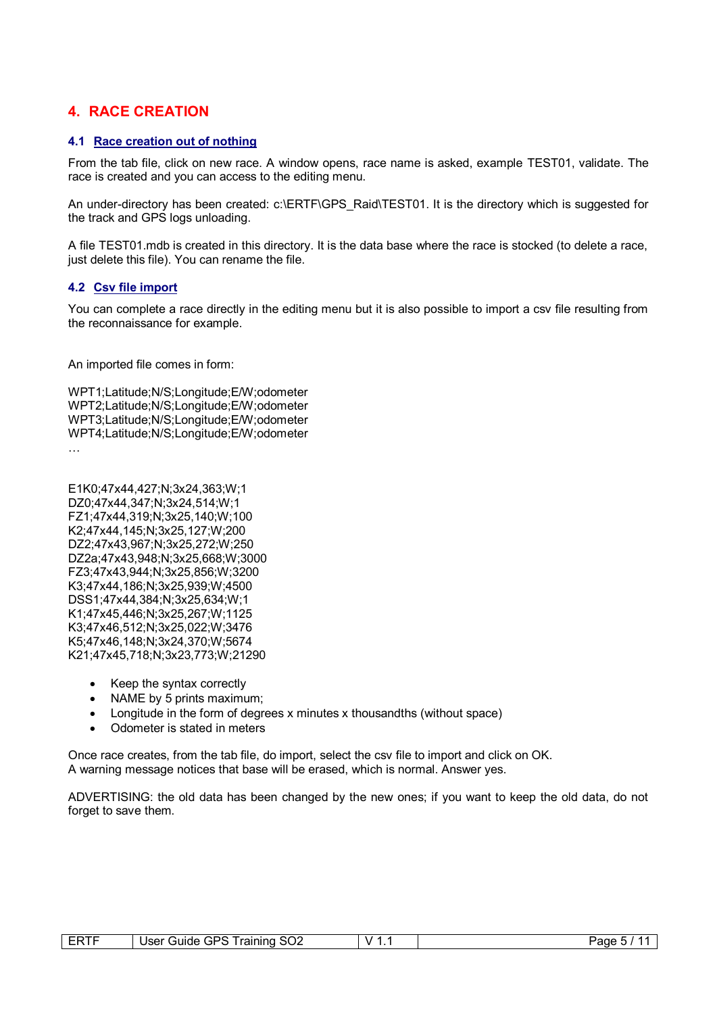# **4. RACE CREATION**

#### **4.1 Race creation out of nothing**

From the tab file, click on new race. A window opens, race name is asked, example TEST01, validate. The race is created and you can access to the editing menu.

An under-directory has been created: c:\ERTF\GPS\_Raid\TEST01. It is the directory which is suggested for the track and GPS logs unloading.

A file TEST01.mdb is created in this directory. It is the data base where the race is stocked (to delete a race, just delete this file). You can rename the file.

#### **4.2 Csv file import**

You can complete a race directly in the editing menu but it is also possible to import a csv file resulting from the reconnaissance for example.

An imported file comes in form:

WPT1;Latitude;N/S;Longitude;E/W;odometer WPT2;Latitude;N/S;Longitude;E/W;odometer WPT3;Latitude;N/S;Longitude;E/W;odometer WPT4;Latitude;N/S;Longitude;E/W;odometer …

- E1K0;47x44,427;N;3x24,363;W;1 DZ0;47x44,347;N;3x24,514;W;1 FZ1;47x44,319;N;3x25,140;W;100 K2;47x44,145;N;3x25,127;W;200 DZ2;47x43,967;N;3x25,272;W;250 DZ2a;47x43,948;N;3x25,668;W;3000 FZ3;47x43,944;N;3x25,856;W;3200 K3;47x44,186;N;3x25,939;W;4500 DSS1;47x44,384;N;3x25,634;W;1 K1;47x45,446;N;3x25,267;W;1125 K3;47x46,512;N;3x25,022;W;3476 K5;47x46,148;N;3x24,370;W;5674 K21;47x45,718;N;3x23,773;W;21290
	- Keep the syntax correctly
	- NAME by 5 prints maximum:
	- Longitude in the form of degrees x minutes x thousandths (without space)
	- Odometer is stated in meters

Once race creates, from the tab file, do import, select the csv file to import and click on OK. A warning message notices that base will be erased, which is normal. Answer yes.

ADVERTISING: the old data has been changed by the new ones; if you want to keep the old data, do not forget to save them.

| ----<br>⊢⊷<br>. . | SO <sub>2</sub><br>GPS<br>™raining<br><b>Jser</b><br>Guide | v | Page<br><b>1</b><br>ີ |
|-------------------|------------------------------------------------------------|---|-----------------------|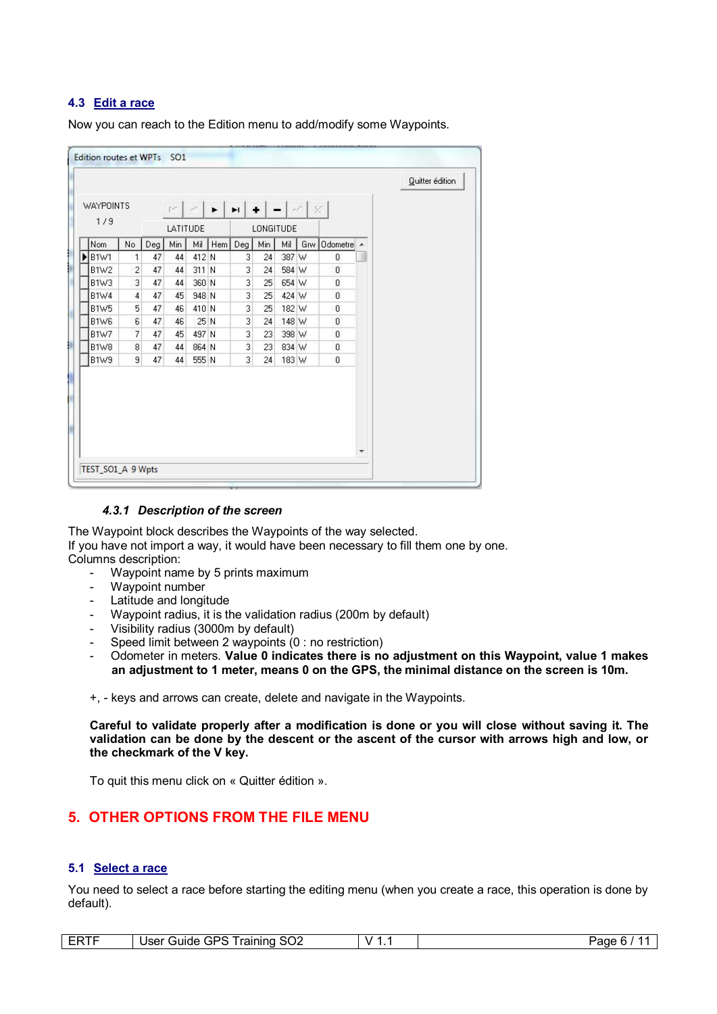#### **4.3 Edit a race**

Now you can reach to the Edition menu to add/modify some Waypoints.

|                  |                          |     |          |       |                       |                |                      |       |     |              |   | Quitter édition |
|------------------|--------------------------|-----|----------|-------|-----------------------|----------------|----------------------|-------|-----|--------------|---|-----------------|
| <b>WAYPOINTS</b> |                          |     | R        |       | $\blacktriangleright$ | $\blacksquare$ | $+$ $ \sim$ $\times$ |       |     |              |   |                 |
| 1/9              |                          |     | LATITUDE |       |                       |                | LONGITUDE            |       |     |              |   |                 |
| Nom              | No                       | Deg | Min      | Mil   | Hem                   | $\mathsf{Deg}$ | Min                  | Mil   | Grw | Odometre A   |   |                 |
| <b>B1W1</b>      | া                        | 47  | 44       | 412 N |                       | 3              | 24                   | 387 W |     | 0            |   |                 |
| <b>B1W2</b>      | $\overline{\mathbf{c}}$  | 47  | 44       | 311 N |                       | 3              | 24                   | 584 W |     | 0            |   |                 |
| B1W3             | 3                        | 47  | 44       | 360 N |                       | 3              | 25                   | 654 W |     | $\mathbf 0$  |   |                 |
| <b>B1W4</b>      | 4                        | 47  | 45       | 948 N |                       | 3              | 25                   | 424 W |     | $\mathbf{0}$ |   |                 |
| <b>B1W5</b>      | 5                        | 47  | 46       | 410 N |                       | 3              | 25                   | 182 W |     | 0            |   |                 |
| B1W6             | 6                        | 47  | 46       | 25 N  |                       | 3              | 24                   | 148 W |     | $\mathbf 0$  |   |                 |
| <b>B1W7</b>      | $\overline{\mathcal{L}}$ | 47  | 45       | 497 N |                       | 3              | 23                   | 398 W |     | $\mathbf 0$  |   |                 |
| <b>B1W8</b>      | 8                        | 47  | 44       | 864 N |                       | 3              | 23                   | 834 W |     | $\theta$     |   |                 |
| B1W9             | 9                        | 47  | 44       | 555 N |                       | 3              | 24                   | 183 W |     | 0            |   |                 |
|                  |                          |     |          |       |                       |                |                      |       |     |              |   |                 |
|                  |                          |     |          |       |                       |                |                      |       |     |              | ٠ |                 |

#### *4.3.1 Description of the screen*

The Waypoint block describes the Waypoints of the way selected. If you have not import a way, it would have been necessary to fill them one by one. Columns description:

- Waypoint name by 5 prints maximum
- Waypoint number
- Latitude and longitude
- Waypoint radius, it is the validation radius (200m by default)
- Visibility radius (3000m by default)
- Speed limit between 2 waypoints (0 : no restriction)
- Odometer in meters. **Value 0 indicates there is no adjustment on this Waypoint, value 1 makes an adjustment to 1 meter, means 0 on the GPS, the minimal distance on the screen is 10m.**

+, - keys and arrows can create, delete and navigate in the Waypoints.

**Careful to validate properly after a modification is done or you will close without saving it. The validation can be done by the descent or the ascent of the cursor with arrows high and low, or the checkmark of the V key.**

To quit this menu click on « Quitter édition ».

# **5. OTHER OPTIONS FROM THE FILE MENU**

#### **5.1 Select a race**

You need to select a race before starting the editing menu (when you create a race, this operation is done by default).

| ____<br>--<br>--- | SO <sub>2</sub><br>GPS<br>i raining<br>Jser<br>Guide | v<br>. . | Page<br>. .<br>. . |
|-------------------|------------------------------------------------------|----------|--------------------|
|-------------------|------------------------------------------------------|----------|--------------------|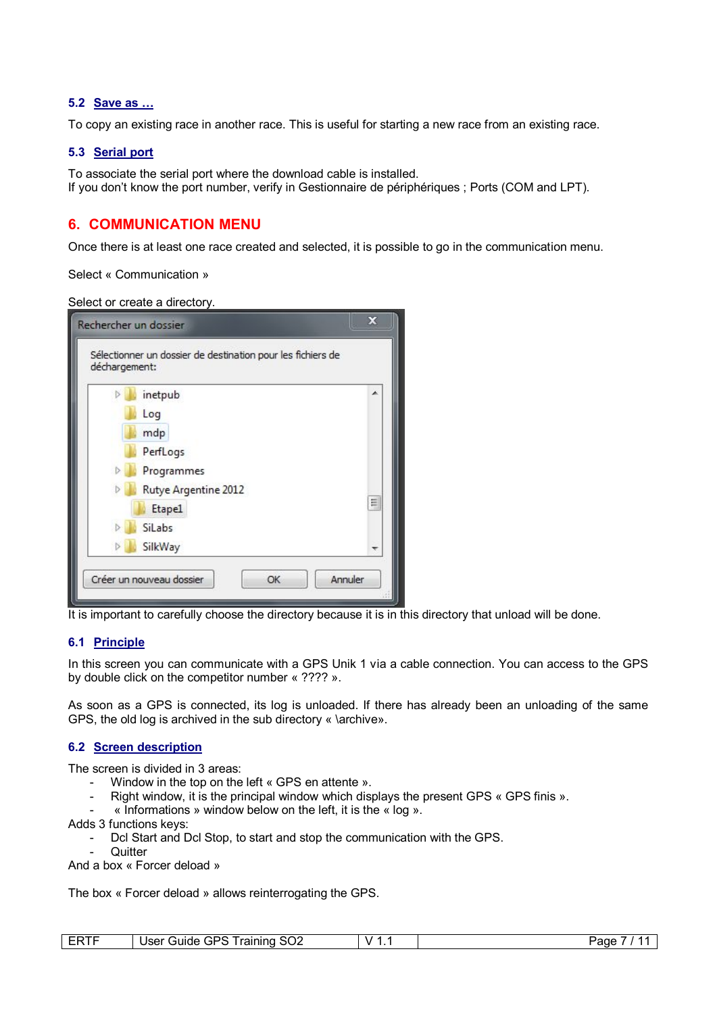#### **5.2 Save as …**

To copy an existing race in another race. This is useful for starting a new race from an existing race.

#### **5.3 Serial port**

To associate the serial port where the download cable is installed. If you don't know the port number, verify in Gestionnaire de périphériques ; Ports (COM and LPT).

# **6. COMMUNICATION MENU**

Once there is at least one race created and selected, it is possible to go in the communication menu.

Select « Communication »

Select or create a directory.

| déchargement: | Sélectionner un dossier de destination pour les fichiers de |   |
|---------------|-------------------------------------------------------------|---|
|               | inetpub                                                     |   |
|               | Log                                                         |   |
|               | mdp                                                         |   |
|               | PerfLogs                                                    |   |
|               | Programmes                                                  |   |
|               | Rutye Argentine 2012                                        |   |
|               | Etape1                                                      | Ξ |
|               | SiLabs                                                      |   |
|               | SilkWay                                                     |   |

It is important to carefully choose the directory because it is in this directory that unload will be done.

#### **6.1 Principle**

In this screen you can communicate with a GPS Unik 1 via a cable connection. You can access to the GPS by double click on the competitor number « ???? ».

As soon as a GPS is connected, its log is unloaded. If there has already been an unloading of the same GPS, the old log is archived in the sub directory « \archive».

#### **6.2 Screen description**

The screen is divided in 3 areas:

- Window in the top on the left « GPS en attente ».
- Right window, it is the principal window which displays the present GPS « GPS finis ».
- $\kappa$  Informations » window below on the left, it is the  $\kappa$  log ».

Adds 3 functions keys:

- Dcl Start and Dcl Stop, to start and stop the communication with the GPS.
- **Quitter**

And a box « Forcer deload »

The box « Forcer deload » allows reinterrogating the GPS.

| ____<br>ER. | coc.<br>⊃טי ∩<br>raining<br>Jser<br>Guide<br>3UZ<br>ᅽ<br>. an<br>. . | v<br>. .<br>$\sim$ $\sim$ | Page<br>. . |
|-------------|----------------------------------------------------------------------|---------------------------|-------------|
|-------------|----------------------------------------------------------------------|---------------------------|-------------|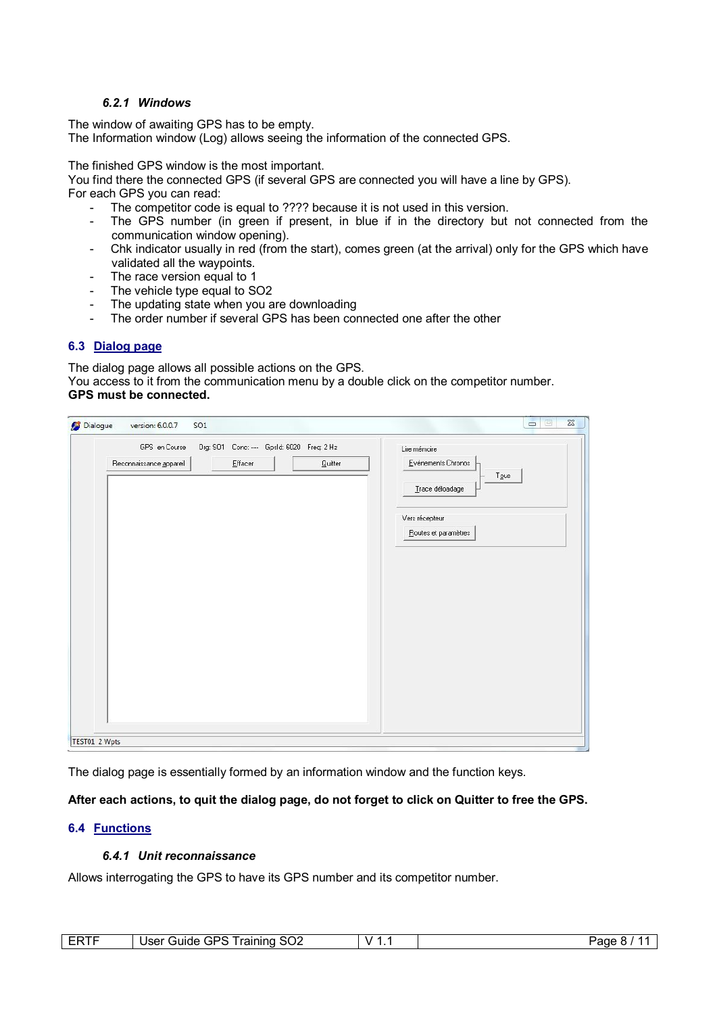#### *6.2.1 Windows*

The window of awaiting GPS has to be empty. The Information window (Log) allows seeing the information of the connected GPS.

The finished GPS window is the most important.

You find there the connected GPS (if several GPS are connected you will have a line by GPS).

For each GPS you can read:

- The competitor code is equal to ???? because it is not used in this version.
- The GPS number (in green if present, in blue if in the directory but not connected from the communication window opening).
- Chk indicator usually in red (from the start), comes green (at the arrival) only for the GPS which have validated all the waypoints.
- The race version equal to 1
- The vehicle type equal to SO2
- The updating state when you are downloading
- The order number if several GPS has been connected one after the other

#### **6.3 Dialog page**

The dialog page allows all possible actions on the GPS. You access to it from the communication menu by a double click on the competitor number. **GPS must be connected.**

| GPS en Course           | Org: SO1 Conc: --- Gpsld: 6020 Freq: 2 Hz | Lire mémoire                          |
|-------------------------|-------------------------------------------|---------------------------------------|
| Reconnaissance appareil | $E$ ffacer<br>Quitter                     | Evénements Chronos                    |
|                         |                                           | $T_{\mathbf{QUS}}$<br>Trace déloadage |
|                         |                                           | Vers récepteur                        |
|                         |                                           | Routes et paramètres                  |
|                         |                                           |                                       |
|                         |                                           |                                       |
|                         |                                           |                                       |
|                         |                                           |                                       |
|                         |                                           |                                       |
|                         |                                           |                                       |
|                         |                                           |                                       |
|                         |                                           |                                       |
|                         |                                           |                                       |
|                         |                                           |                                       |

The dialog page is essentially formed by an information window and the function keys.

# **After each actions, to quit the dialog page, do not forget to click on Quitter to free the GPS.**

#### **6.4 Functions**

### *6.4.1 Unit reconnaissance*

Allows interrogating the GPS to have its GPS number and its competitor number.

| ----<br>--<br>\I. | -∽<br>GPS.<br>I raining<br><b>Jser</b><br>suide<br>שט ' | v<br>. . | aut |
|-------------------|---------------------------------------------------------|----------|-----|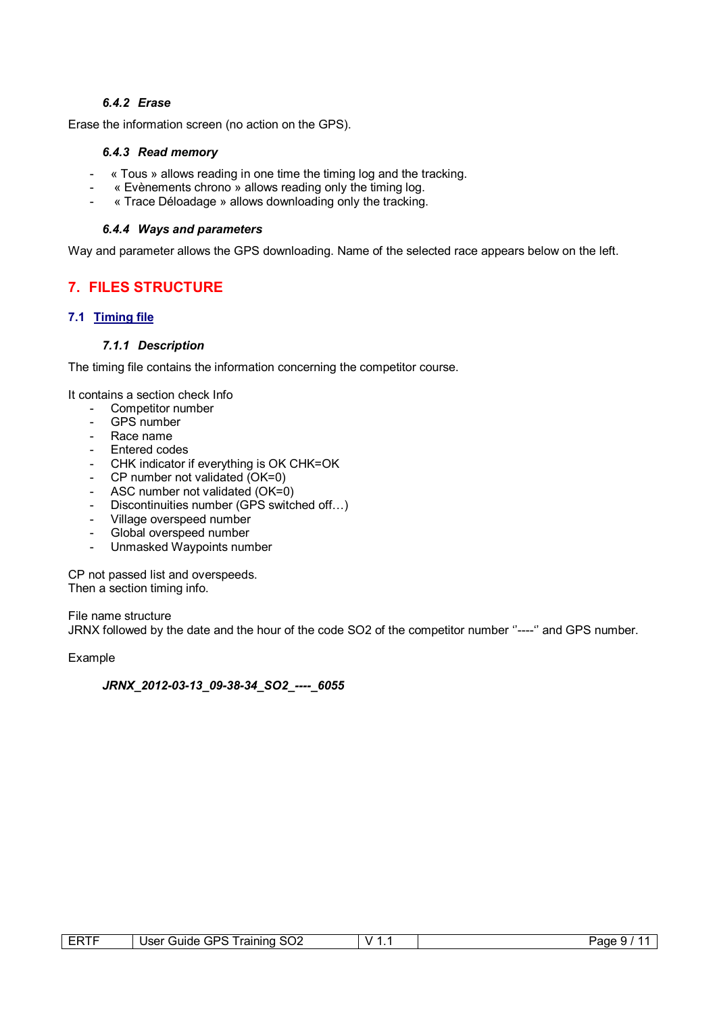#### *6.4.2 Erase*

Erase the information screen (no action on the GPS).

#### *6.4.3 Read memory*

- « Tous » allows reading in one time the timing log and the tracking.
- « Evènements chrono » allows reading only the timing log.
- « Trace Déloadage » allows downloading only the tracking.

#### *6.4.4 Ways and parameters*

Way and parameter allows the GPS downloading. Name of the selected race appears below on the left.

# **7. FILES STRUCTURE**

#### **7.1 Timing file**

#### *7.1.1 Description*

The timing file contains the information concerning the competitor course.

It contains a section check Info

- Competitor number
- GPS number
- Race name
- Entered codes
- CHK indicator if everything is OK CHK=OK
- CP number not validated (OK=0)
- ASC number not validated (OK=0)
- Discontinuities number (GPS switched off…)
- Village overspeed number<br>- Global overspeed number
- Global overspeed number
- Unmasked Waypoints number

CP not passed list and overspeeds. Then a section timing info.

File name structure JRNX followed by the date and the hour of the code SO2 of the competitor number ''----'' and GPS number.

Example

#### *JRNX\_2012-03-13\_09-38-34\_SO2\_----\_6055*

| $- - - -$<br>⊢₩ | <b>GPS</b><br>∽<br>I raining<br>Jser<br>Guide | r<br>3UZ<br>$\mathbf{v}$<br>. . | ⊵aαe<br>. .<br>ີ |
|-----------------|-----------------------------------------------|---------------------------------|------------------|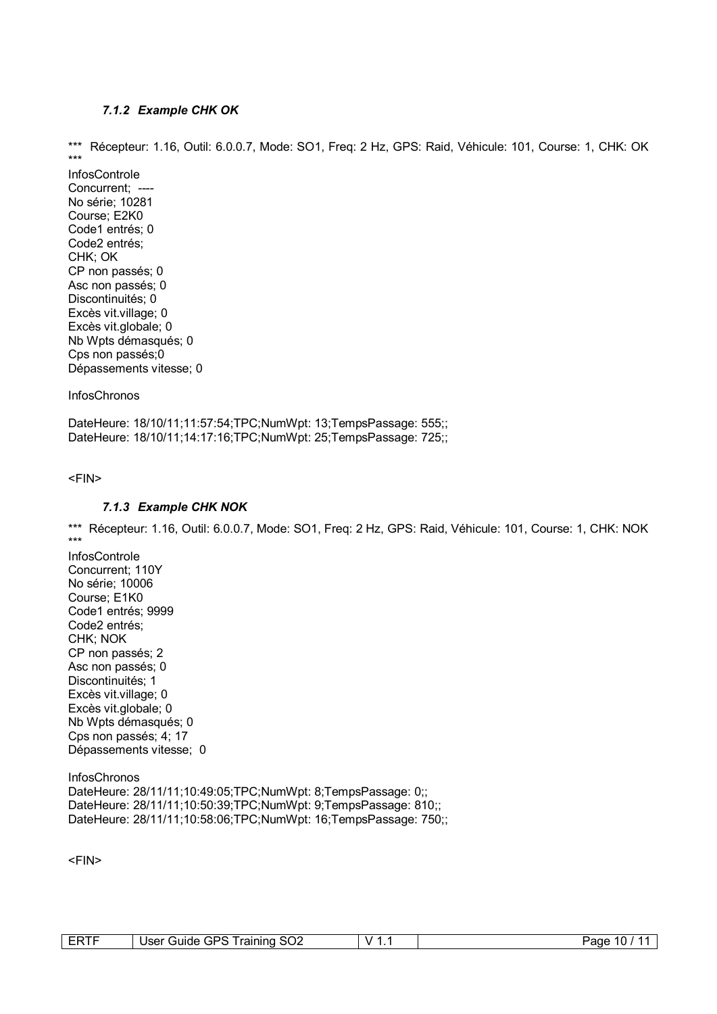#### *7.1.2 Example CHK OK*

\*\*\* Récepteur: 1.16, Outil: 6.0.0.7, Mode: SO1, Freq: 2 Hz, GPS: Raid, Véhicule: 101, Course: 1, CHK: OK \*\*\*

InfosControle Concurrent; -No série; 10281 Course; E2K0 Code1 entrés; 0 Code2 entrés; CHK; OK CP non passés; 0 Asc non passés; 0 Discontinuités; 0 Excès vit.village; 0 Excès vit.globale; 0 Nb Wpts démasqués; 0 Cps non passés;0 Dépassements vitesse; 0

**InfosChronos** 

DateHeure: 18/10/11;11:57:54;TPC;NumWpt: 13;TempsPassage: 555;; DateHeure: 18/10/11;14:17:16;TPC;NumWpt: 25;TempsPassage: 725;;

<FIN>

#### *7.1.3 Example CHK NOK*

\*\*\* Récepteur: 1.16, Outil: 6.0.0.7, Mode: SO1, Freq: 2 Hz, GPS: Raid, Véhicule: 101, Course: 1, CHK: NOK \*\*\*

InfosControle Concurrent; 110Y No série; 10006 Course; E1K0 Code1 entrés; 9999 Code2 entrés; CHK; NOK CP non passés; 2 Asc non passés; 0 Discontinuités; 1 Excès vit.village; 0 Excès vit.globale; 0 Nb Wpts démasqués; 0 Cps non passés; 4; 17 Dépassements vitesse; 0

**InfosChronos** DateHeure: 28/11/11;10:49:05;TPC;NumWpt: 8;TempsPassage: 0;; DateHeure: 28/11/11;10:50:39;TPC;NumWpt: 9;TempsPassage: 810;; DateHeure: 28/11/11;10:58:06;TPC;NumWpt: 16;TempsPassage: 750;;

<FIN>

| 、へへ<br>ı rainino<br>טבי<br>Jser<br>suide<br>ouz<br>ᅽ<br>. . | v | 10<br>≌age |
|-------------------------------------------------------------|---|------------|